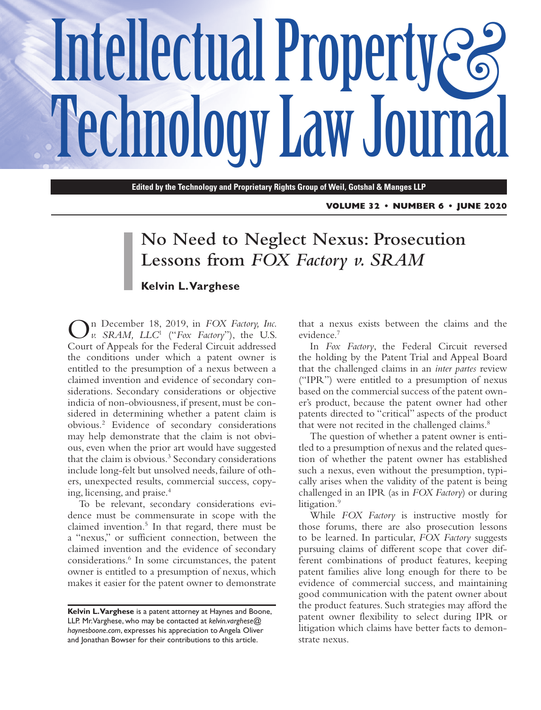# Intellectual Property  $\mathcal{E}$ **Technology Law Journal**

**Edited by the Technology and Proprietary Rights Group of Weil, Gotshal & Manges LLP**

**VOLUME 32 • NUMBER 6 • JUNE 2020**

# **No Need to Neglect Nexus: Prosecution Lessons from** *FOX Factory v. SRAM*

#### **Kelvin L. Varghese**

On December 18, 2019, in *FOX Factory, Inc. v. SRAM, LLC*<sup>1</sup> ("*Fox Factory*"), the U.S. Court of Appeals for the Federal Circuit addressed the conditions under which a patent owner is entitled to the presumption of a nexus between a claimed invention and evidence of secondary considerations. Secondary considerations or objective indicia of non-obviousness, if present, must be considered in determining whether a patent claim is obvious.2 Evidence of secondary considerations may help demonstrate that the claim is not obvious, even when the prior art would have suggested that the claim is obvious.<sup>3</sup> Secondary considerations include long-felt but unsolved needs, failure of others, unexpected results, commercial success, copying, licensing, and praise.4

To be relevant, secondary considerations evidence must be commensurate in scope with the claimed invention.5 In that regard, there must be a "nexus," or sufficient connection, between the claimed invention and the evidence of secondary considerations.6 In some circumstances, the patent owner is entitled to a presumption of nexus, which makes it easier for the patent owner to demonstrate

that a nexus exists between the claims and the evidence.7

In *Fox Factory*, the Federal Circuit reversed the holding by the Patent Trial and Appeal Board that the challenged claims in an *inter partes* review ("IPR") were entitled to a presumption of nexus based on the commercial success of the patent owner's product, because the patent owner had other patents directed to "critical" aspects of the product that were not recited in the challenged claims.<sup>8</sup>

The question of whether a patent owner is entitled to a presumption of nexus and the related question of whether the patent owner has established such a nexus, even without the presumption, typically arises when the validity of the patent is being challenged in an IPR (as in *FOX Factory*) or during litigation.<sup>9</sup>

While *FOX Factory* is instructive mostly for those forums, there are also prosecution lessons to be learned. In particular, *FOX Factory* suggests pursuing claims of different scope that cover different combinations of product features, keeping patent families alive long enough for there to be evidence of commercial success, and maintaining good communication with the patent owner about the product features. Such strategies may afford the patent owner flexibility to select during IPR or litigation which claims have better facts to demonstrate nexus.

**Kelvin L. Varghese** is a patent attorney at Haynes and Boone, LLP. Mr. Varghese, who may be contacted at *[kelvin.varghese@](mailto:kelvin.varghese@haynesboone.com) [haynesboone.com](mailto:kelvin.varghese@haynesboone.com)*, expresses his appreciation to Angela Oliver and Jonathan Bowser for their contributions to this article.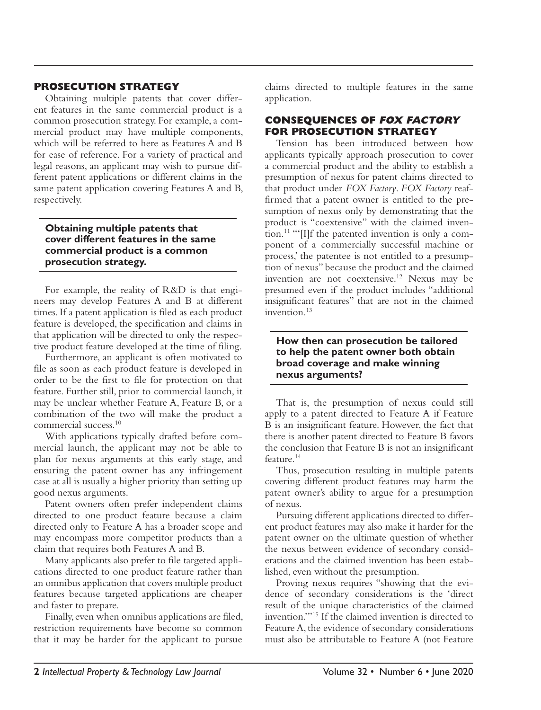### **PROSECUTION STRATEGY**

Obtaining multiple patents that cover different features in the same commercial product is a common prosecution strategy. For example, a commercial product may have multiple components, which will be referred to here as Features A and B for ease of reference. For a variety of practical and legal reasons, an applicant may wish to pursue different patent applications or different claims in the same patent application covering Features A and B, respectively.

#### **Obtaining multiple patents that cover different features in the same commercial product is a common prosecution strategy.**

For example, the reality of R&D is that engineers may develop Features A and B at different times. If a patent application is filed as each product feature is developed, the specification and claims in that application will be directed to only the respective product feature developed at the time of filing.

Furthermore, an applicant is often motivated to file as soon as each product feature is developed in order to be the first to file for protection on that feature. Further still, prior to commercial launch, it may be unclear whether Feature A, Feature B, or a combination of the two will make the product a commercial success.10

With applications typically drafted before commercial launch, the applicant may not be able to plan for nexus arguments at this early stage, and ensuring the patent owner has any infringement case at all is usually a higher priority than setting up good nexus arguments.

Patent owners often prefer independent claims directed to one product feature because a claim directed only to Feature A has a broader scope and may encompass more competitor products than a claim that requires both Features A and B.

Many applicants also prefer to file targeted applications directed to one product feature rather than an omnibus application that covers multiple product features because targeted applications are cheaper and faster to prepare.

Finally, even when omnibus applications are filed, restriction requirements have become so common that it may be harder for the applicant to pursue

claims directed to multiple features in the same application.

#### **CONSEQUENCES OF FOX FACTORY FOR PROSECUTION STRATEGY**

Tension has been introduced between how applicants typically approach prosecution to cover a commercial product and the ability to establish a presumption of nexus for patent claims directed to that product under *FOX Factory*. *FOX Factory* reaffirmed that a patent owner is entitled to the presumption of nexus only by demonstrating that the product is "coextensive" with the claimed inven- $\frac{11}{2}$  "'[I]f the patented invention is only a component of a commercially successful machine or process,' the patentee is not entitled to a presumption of nexus" because the product and the claimed invention are not coextensive.12 Nexus may be presumed even if the product includes "additional insignificant features" that are not in the claimed invention.<sup>13</sup>

#### **How then can prosecution be tailored to help the patent owner both obtain broad coverage and make winning nexus arguments?**

That is, the presumption of nexus could still apply to a patent directed to Feature A if Feature B is an insignificant feature. However, the fact that there is another patent directed to Feature B favors the conclusion that Feature B is not an insignificant feature.<sup>14</sup>

Thus, prosecution resulting in multiple patents covering different product features may harm the patent owner's ability to argue for a presumption of nexus.

Pursuing different applications directed to different product features may also make it harder for the patent owner on the ultimate question of whether the nexus between evidence of secondary considerations and the claimed invention has been established, even without the presumption.

Proving nexus requires "showing that the evidence of secondary considerations is the 'direct result of the unique characteristics of the claimed invention.'"15 If the claimed invention is directed to Feature A, the evidence of secondary considerations must also be attributable to Feature A (not Feature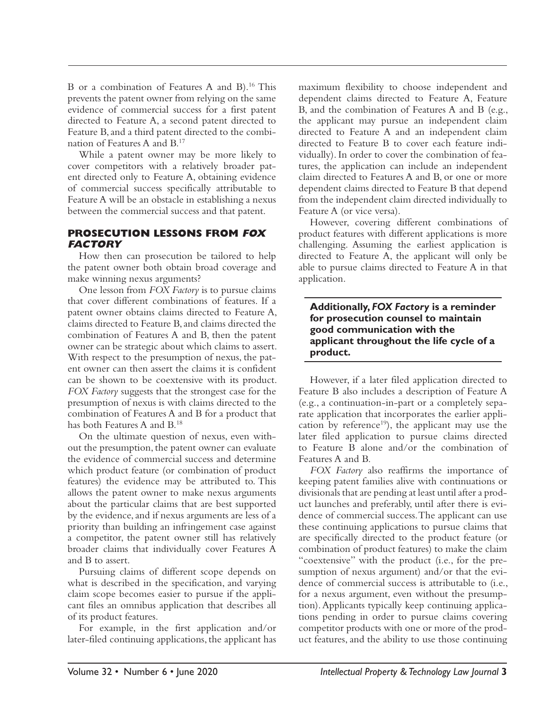B or a combination of Features A and B).<sup>16</sup> This prevents the patent owner from relying on the same evidence of commercial success for a first patent directed to Feature A, a second patent directed to Feature B, and a third patent directed to the combination of Features A and B.17

While a patent owner may be more likely to cover competitors with a relatively broader patent directed only to Feature A, obtaining evidence of commercial success specifically attributable to Feature A will be an obstacle in establishing a nexus between the commercial success and that patent.

## **PROSECUTION LESSONS FROM FOX FACTORY**

How then can prosecution be tailored to help the patent owner both obtain broad coverage and make winning nexus arguments?

One lesson from *FOX Factory* is to pursue claims that cover different combinations of features. If a patent owner obtains claims directed to Feature A, claims directed to Feature B, and claims directed the combination of Features A and B, then the patent owner can be strategic about which claims to assert. With respect to the presumption of nexus, the patent owner can then assert the claims it is confident can be shown to be coextensive with its product. *FOX Factory* suggests that the strongest case for the presumption of nexus is with claims directed to the combination of Features A and B for a product that has both Features A and B.18

On the ultimate question of nexus, even without the presumption, the patent owner can evaluate the evidence of commercial success and determine which product feature (or combination of product features) the evidence may be attributed to. This allows the patent owner to make nexus arguments about the particular claims that are best supported by the evidence, and if nexus arguments are less of a priority than building an infringement case against a competitor, the patent owner still has relatively broader claims that individually cover Features A and B to assert.

Pursuing claims of different scope depends on what is described in the specification, and varying claim scope becomes easier to pursue if the applicant files an omnibus application that describes all of its product features.

For example, in the first application and/or later-filed continuing applications, the applicant has maximum flexibility to choose independent and dependent claims directed to Feature A, Feature B, and the combination of Features A and B (e.g., the applicant may pursue an independent claim directed to Feature A and an independent claim directed to Feature B to cover each feature individually). In order to cover the combination of features, the application can include an independent claim directed to Features A and B, or one or more dependent claims directed to Feature B that depend from the independent claim directed individually to Feature A (or vice versa).

However, covering different combinations of product features with different applications is more challenging. Assuming the earliest application is directed to Feature A, the applicant will only be able to pursue claims directed to Feature A in that application.

#### **Additionally,** *FOX Factory* **is a reminder for prosecution counsel to maintain good communication with the applicant throughout the life cycle of a product.**

However, if a later filed application directed to Feature B also includes a description of Feature A (e.g., a continuation-in-part or a completely separate application that incorporates the earlier application by reference<sup>19</sup>), the applicant may use the later filed application to pursue claims directed to Feature B alone and/or the combination of Features A and B.

*FOX Factory* also reaffirms the importance of keeping patent families alive with continuations or divisionals that are pending at least until after a product launches and preferably, until after there is evidence of commercial success. The applicant can use these continuing applications to pursue claims that are specifically directed to the product feature (or combination of product features) to make the claim "coextensive" with the product (i.e., for the presumption of nexus argument) and/or that the evidence of commercial success is attributable to (i.e., for a nexus argument, even without the presumption). Applicants typically keep continuing applications pending in order to pursue claims covering competitor products with one or more of the product features, and the ability to use those continuing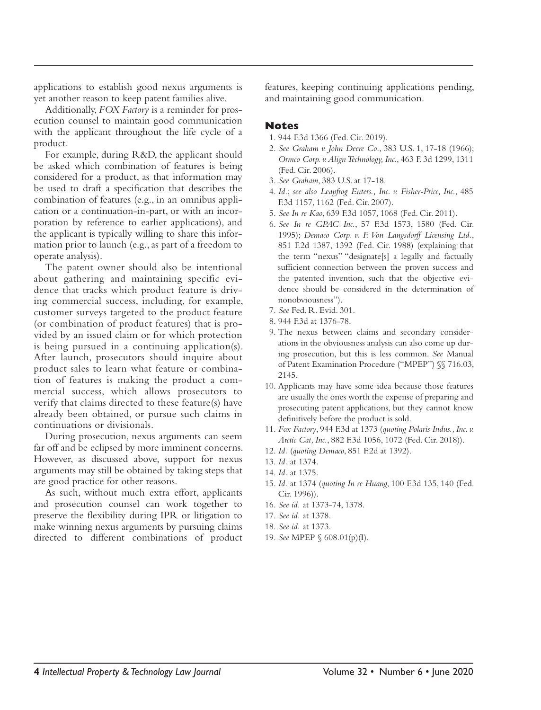applications to establish good nexus arguments is yet another reason to keep patent families alive.

Additionally, *FOX Factory* is a reminder for prosecution counsel to maintain good communication with the applicant throughout the life cycle of a product.

For example, during R&D, the applicant should be asked which combination of features is being considered for a product, as that information may be used to draft a specification that describes the combination of features (e.g., in an omnibus application or a continuation-in-part, or with an incorporation by reference to earlier applications), and the applicant is typically willing to share this information prior to launch (e.g., as part of a freedom to operate analysis).

The patent owner should also be intentional about gathering and maintaining specific evidence that tracks which product feature is driving commercial success, including, for example, customer surveys targeted to the product feature (or combination of product features) that is provided by an issued claim or for which protection is being pursued in a continuing application(s). After launch, prosecutors should inquire about product sales to learn what feature or combination of features is making the product a commercial success, which allows prosecutors to verify that claims directed to these feature(s) have already been obtained, or pursue such claims in continuations or divisionals.

During prosecution, nexus arguments can seem far off and be eclipsed by more imminent concerns. However, as discussed above, support for nexus arguments may still be obtained by taking steps that are good practice for other reasons.

As such, without much extra effort, applicants and prosecution counsel can work together to preserve the flexibility during IPR or litigation to make winning nexus arguments by pursuing claims directed to different combinations of product features, keeping continuing applications pending, and maintaining good communication.

#### **Notes**

- 1. 944 F.3d 1366 (Fed. Cir. 2019).
- 2. *See Graham v. John Deere Co*., 383 U.S. 1, 17-18 (1966); *Ormco Corp. v. Align Technology, Inc.*, 463 F. 3d 1299, 1311 (Fed. Cir. 2006).
- 3. *See Graham*, 383 U.S. at 17-18.
- 4. *Id.*; *see also Leapfrog Enters., Inc. v. Fisher-Price, Inc.*, 485 F.3d 1157, 1162 (Fed. Cir. 2007).
- 5. *See In re Kao*, 639 F.3d 1057, 1068 (Fed. Cir. 2011).
- 6. *See In re GPAC Inc.*, 57 F.3d 1573, 1580 (Fed. Cir. 1995); *Demaco Corp. v. F. Von Langsdorff Licensing Ltd.*, 851 F.2d 1387, 1392 (Fed. Cir. 1988) (explaining that the term "nexus" "designate[s] a legally and factually sufficient connection between the proven success and the patented invention, such that the objective evidence should be considered in the determination of nonobviousness").
- 7. *See* Fed. R. Evid. 301.
- 8. 944 F.3d at 1376-78.
- 9. The nexus between claims and secondary considerations in the obviousness analysis can also come up during prosecution, but this is less common. *See* Manual of Patent Examination Procedure ("MPEP") §§ 716.03, 2145.
- 10. Applicants may have some idea because those features are usually the ones worth the expense of preparing and prosecuting patent applications, but they cannot know definitively before the product is sold.
- 11. *Fox Factory*, 944 F.3d at 1373 (*quoting Polaris Indus., Inc. v. Arctic Cat, Inc.*, 882 F.3d 1056, 1072 (Fed. Cir. 2018)).
- 12. *Id.* (*quoting Demaco*, 851 F.2d at 1392).
- 13. *Id.* at 1374.
- 14. *Id.* at 1375.
- 15. *Id.* at 1374 (*quoting In re Huang*, 100 F.3d 135, 140 (Fed. Cir. 1996)).
- 16. *See id.* at 1373-74, 1378.
- 17. *See id.* at 1378.
- 18. *See id.* at 1373.
- 19. *See* MPEP § 608.01(p)(I).